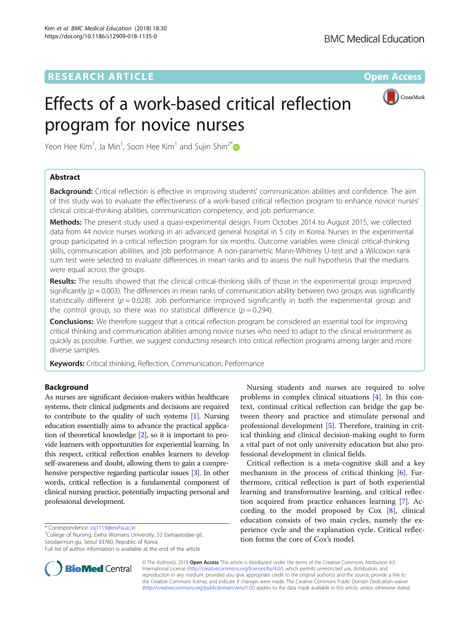

# Effects of a work-based critical reflection program for novice nurses

Yeon Hee Kim $^1$ , Ja Min $^1$ , Soon Hee Kim $^1$  and Sujin Shin $^{2^\ast}$ 

# Abstract

**Background:** Critical reflection is effective in improving students' communication abilities and confidence. The aim of this study was to evaluate the effectiveness of a work-based critical reflection program to enhance novice nurses' clinical critical-thinking abilities, communication competency, and job performance.

Methods: The present study used a quasi-experimental design. From October 2014 to August 2015, we collected data from 44 novice nurses working in an advanced general hospital in S city in Korea. Nurses in the experimental group participated in a critical reflection program for six months. Outcome variables were clinical critical-thinking skills, communication abilities, and job performance. A non-parametric Mann-Whitney U-test and a Wilcoxon rank sum test were selected to evaluate differences in mean ranks and to assess the null hypothesis that the medians were equal across the groups.

Results: The results showed that the clinical critical-thinking skills of those in the experimental group improved significantly ( $p = 0.003$ ). The differences in mean ranks of communication ability between two groups was significantly statistically different ( $p = 0.028$ ). Job performance improved significantly in both the experimental group and the control group, so there was no statistical difference ( $p = 0.294$ ).

**Conclusions:** We therefore suggest that a critical reflection program be considered an essential tool for improving critical thinking and communication abilities among novice nurses who need to adapt to the clinical environment as quickly as possible. Further, we suggest conducting research into critical reflection programs among larger and more diverse samples.

**Keywords:** Critical thinking, Reflection, Communication, Performance

# Background

As nurses are significant decision-makers within healthcare systems, their clinical judgments and decisions are required to contribute to the quality of such systems [\[1\]](#page-4-0). Nursing education essentially aims to advance the practical application of theoretical knowledge [\[2\]](#page-4-0), so it is important to provide learners with opportunities for experiential learning. In this respect, critical reflection enables learners to develop self-awareness and doubt, allowing them to gain a comprehensive perspective regarding particular issues [\[3](#page-4-0)]. In other words, critical reflection is a fundamental component of clinical nursing practice, potentially impacting personal and professional development.

 $2$ College of Nursing, Ewha Womans University, 52 Ewhayeodae-gil, Seodaemun-gu, Seoul 03760, Republic of Korea

Full list of author information is available at the end of the article



Nursing students and nurses are required to solve problems in complex clinical situations [\[4](#page-4-0)]. In this context, continual critical reflection can bridge the gap between theory and practice and stimulate personal and professional development [[5\]](#page-4-0). Therefore, training in critical thinking and clinical decision-making ought to form a vital part of not only university education but also professional development in clinical fields.

Critical reflection is a meta-cognitive skill and a key mechanism in the process of critical thinking [\[6](#page-4-0)]. Furthermore, critical reflection is part of both experiential learning and transformative learning, and critical reflection acquired from practice enhances learning [\[7](#page-4-0)]. According to the model proposed by Cox [\[8](#page-4-0)], clinical education consists of two main cycles, namely the experience cycle and the explanation cycle. Critical reflection forms the core of Cox's model.

© The Author(s). 2018 Open Access This article is distributed under the terms of the Creative Commons Attribution 4.0 International License [\(http://creativecommons.org/licenses/by/4.0/](http://creativecommons.org/licenses/by/4.0/)), which permits unrestricted use, distribution, and reproduction in any medium, provided you give appropriate credit to the original author(s) and the source, provide a link to the Creative Commons license, and indicate if changes were made. The Creative Commons Public Domain Dedication waiver [\(http://creativecommons.org/publicdomain/zero/1.0/](http://creativecommons.org/publicdomain/zero/1.0/)) applies to the data made available in this article, unless otherwise stated.

<sup>\*</sup> Correspondence: [ssj1119@ewha.ac.kr](mailto:ssj1119@ewha.ac.kr) <sup>2</sup>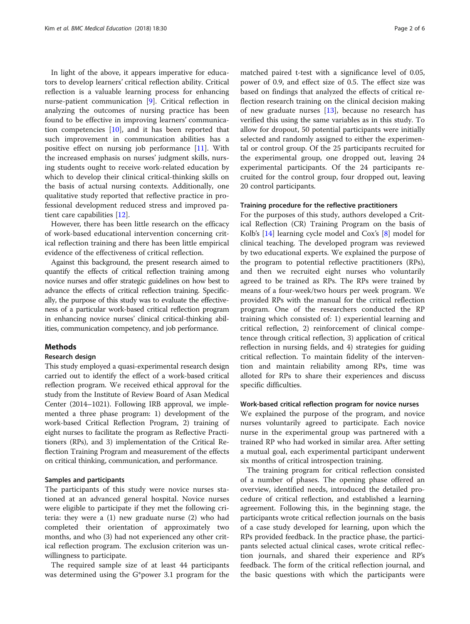In light of the above, it appears imperative for educators to develop learners' critical reflection ability. Critical reflection is a valuable learning process for enhancing nurse-patient communication [[9\]](#page-4-0). Critical reflection in analyzing the outcomes of nursing practice has been found to be effective in improving learners' communication competencies  $[10]$  $[10]$ , and it has been reported that such improvement in communication abilities has a positive effect on nursing job performance [\[11](#page-4-0)]. With the increased emphasis on nurses' judgment skills, nursing students ought to receive work-related education by which to develop their clinical critical-thinking skills on the basis of actual nursing contexts. Additionally, one qualitative study reported that reflective practice in professional development reduced stress and improved patient care capabilities [\[12](#page-4-0)].

However, there has been little research on the efficacy of work-based educational intervention concerning critical reflection training and there has been little empirical evidence of the effectiveness of critical reflection.

Against this background, the present research aimed to quantify the effects of critical reflection training among novice nurses and offer strategic guidelines on how best to advance the effects of critical reflection training. Specifically, the purpose of this study was to evaluate the effectiveness of a particular work-based critical reflection program in enhancing novice nurses' clinical critical-thinking abilities, communication competency, and job performance.

## Methods

# Research design

This study employed a quasi-experimental research design carried out to identify the effect of a work-based critical reflection program. We received ethical approval for the study from the Institute of Review Board of Asan Medical Center (2014–1021). Following IRB approval, we implemented a three phase program: 1) development of the work-based Critical Reflection Program, 2) training of eight nurses to facilitate the program as Reflective Practitioners (RPs), and 3) implementation of the Critical Reflection Training Program and measurement of the effects on critical thinking, communication, and performance.

## Samples and participants

The participants of this study were novice nurses stationed at an advanced general hospital. Novice nurses were eligible to participate if they met the following criteria: they were a (1) new graduate nurse (2) who had completed their orientation of approximately two months, and who (3) had not experienced any other critical reflection program. The exclusion criterion was unwillingness to participate.

The required sample size of at least 44 participants was determined using the G\*power 3.1 program for the

matched paired t-test with a significance level of 0.05, power of 0.9, and effect size of 0.5. The effect size was based on findings that analyzed the effects of critical reflection research training on the clinical decision making of new graduate nurses [[13\]](#page-4-0), because no research has verified this using the same variables as in this study. To allow for dropout, 50 potential participants were initially selected and randomly assigned to either the experimental or control group. Of the 25 participants recruited for the experimental group, one dropped out, leaving 24 experimental participants. Of the 24 participants recruited for the control group, four dropped out, leaving 20 control participants.

# Training procedure for the reflective practitioners

For the purposes of this study, authors developed a Critical Reflection (CR) Training Program on the basis of Kolb's [\[14](#page-4-0)] learning cycle model and Cox's [[8\]](#page-4-0) model for clinical teaching. The developed program was reviewed by two educational experts. We explained the purpose of the program to potential reflective practitioners (RPs), and then we recruited eight nurses who voluntarily agreed to be trained as RPs. The RPs were trained by means of a four-week/two hours per week program. We provided RPs with the manual for the critical reflection program. One of the researchers conducted the RP training which consisted of: 1) experiential learning and critical reflection, 2) reinforcement of clinical competence through critical reflection, 3) application of critical reflection in nursing fields, and 4) strategies for guiding critical reflection. To maintain fidelity of the intervention and maintain reliability among RPs, time was alloted for RPs to share their experiences and discuss specific difficulties.

# Work-based critical reflection program for novice nurses

We explained the purpose of the program, and novice nurses voluntarily agreed to participate. Each novice nurse in the experimental group was partnered with a trained RP who had worked in similar area. After setting a mutual goal, each experimental participant underwent six months of critical introspection training.

The training program for critical reflection consisted of a number of phases. The opening phase offered an overview, identified needs, introduced the detailed procedure of critical reflection, and established a learning agreement. Following this, in the beginning stage, the participants wrote critical reflection journals on the basis of a case study developed for learning, upon which the RPs provided feedback. In the practice phase, the participants selected actual clinical cases, wrote critical reflection journals, and shared their experience and RP's feedback. The form of the critical reflection journal, and the basic questions with which the participants were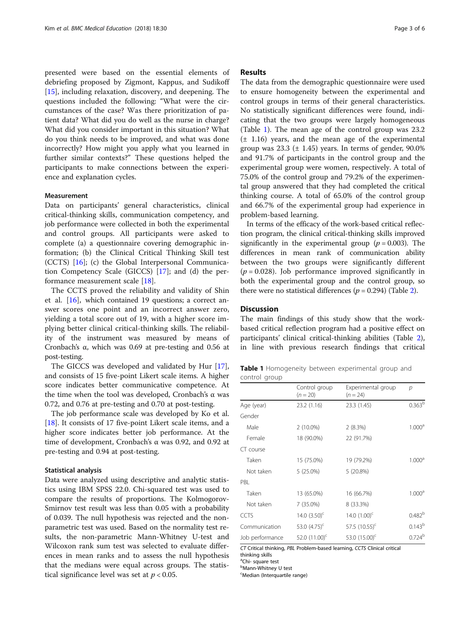presented were based on the essential elements of debriefing proposed by Zigmont, Kappus, and Sudikoff [[15\]](#page-5-0), including relaxation, discovery, and deepening. The questions included the following: "What were the circumstances of the case? Was there prioritization of patient data? What did you do well as the nurse in charge? What did you consider important in this situation? What do you think needs to be improved, and what was done incorrectly? How might you apply what you learned in further similar contexts?" These questions helped the participants to make connections between the experience and explanation cycles.

# Measurement

Data on participants' general characteristics, clinical critical-thinking skills, communication competency, and job performance were collected in both the experimental and control groups. All participants were asked to complete (a) a questionnaire covering demographic information; (b) the Clinical Critical Thinking Skill test (CCTS) [\[16](#page-5-0)]; (c) the Global Interpersonal Communication Competency Scale (GICCS) [\[17](#page-5-0)]; and (d) the performance measurement scale [\[18](#page-5-0)].

The CCTS proved the reliability and validity of Shin et al. [\[16\]](#page-5-0), which contained 19 questions; a correct answer scores one point and an incorrect answer zero, yielding a total score out of 19, with a higher score implying better clinical critical-thinking skills. The reliability of the instrument was measured by means of Cronbach's α, which was 0.69 at pre-testing and 0.56 at post-testing.

The GICCS was developed and validated by Hur [\[17](#page-5-0)], and consists of 15 five-point Likert scale items. A higher score indicates better communicative competence. At the time when the tool was developed, Cronbach's α was 0.72, and 0.76 at pre-testing and 0.70 at post-testing.

The job performance scale was developed by Ko et al. [[18\]](#page-5-0). It consists of 17 five-point Likert scale items, and a higher score indicates better job performance. At the time of development, Cronbach's α was 0.92, and 0.92 at pre-testing and 0.94 at post-testing.

# Statistical analysis

Data were analyzed using descriptive and analytic statistics using IBM SPSS 22.0. Chi-squared test was used to compare the results of proportions. The Kolmogorov-Smirnov test result was less than 0.05 with a probability of 0.039. The null hypothesis was rejected and the nonparametric test was used. Based on the normality test results, the non-parametric Mann-Whitney U-test and Wilcoxon rank sum test was selected to evaluate differences in mean ranks and to assess the null hypothesis that the medians were equal across groups. The statistical significance level was set at  $p < 0.05$ .

# Results

The data from the demographic questionnaire were used to ensure homogeneity between the experimental and control groups in terms of their general characteristics. No statistically significant differences were found, indicating that the two groups were largely homogeneous (Table 1). The mean age of the control group was 23.2  $(\pm 1.16)$  years, and the mean age of the experimental group was  $23.3$  ( $\pm$  1.45) years. In terms of gender, 90.0% and 91.7% of participants in the control group and the experimental group were women, respectively. A total of 75.0% of the control group and 79.2% of the experimental group answered that they had completed the critical thinking course. A total of 65.0% of the control group and 66.7% of the experimental group had experience in problem-based learning.

In terms of the efficacy of the work-based critical reflection program, the clinical critical-thinking skills improved significantly in the experimental group ( $p = 0.003$ ). The differences in mean rank of communication ability between the two groups were significantly different  $(p = 0.028)$ . Job performance improved significantly in both the experimental group and the control group, so there were no statistical differences ( $p = 0.294$ ) (Table [2\)](#page-3-0).

# **Discussion**

The main findings of this study show that the workbased critical reflection program had a positive effect on participants' clinical critical-thinking abilities (Table [2](#page-3-0)), in line with previous research findings that critical

|               | <b>Table 1</b> Homogeneity between experimental group and |  |  |
|---------------|-----------------------------------------------------------|--|--|
| control group |                                                           |  |  |

|                 | Control group<br>$(n = 20)$ | Experimental group<br>$(n = 24)$ | p                  |  |
|-----------------|-----------------------------|----------------------------------|--------------------|--|
| Age (year)      | 23.2 (1.16)                 | 23.3 (1.45)                      | 0.363 <sup>b</sup> |  |
| Gender          |                             |                                  |                    |  |
| Male            | $2(10.0\%)$                 | 2(8.3%)                          | 1.000 <sup>a</sup> |  |
| Female          | 18 (90.0%)                  | 22 (91.7%)                       |                    |  |
| CT course       |                             |                                  |                    |  |
| Taken           | 15 (75.0%)                  | 19 (79.2%)                       | 1.000 <sup>a</sup> |  |
| Not taken       | 5 (25.0%)                   | 5 (20.8%)                        |                    |  |
| PBI             |                             |                                  |                    |  |
| Taken           | 13 (65.0%)                  | 16 (66.7%)                       | 1.000 <sup>a</sup> |  |
| Not taken       | $7(35.0\%)$                 | 8 (33.3%)                        |                    |  |
| <b>CCTS</b>     | 14.0 $(3.50)^{c}$           | 14.0 $(1.00)^{c}$                | 0.482 <sup>b</sup> |  |
| Communication   | 53.0 $(4.75)^c$             | 57.5 $(10.55)^c$                 | $0.143^{b}$        |  |
| Job performance | 52.0 $(11.00)^{c}$          | 53.0 $(15.00)^c$                 | 0.724 <sup>b</sup> |  |

CT Critical thinking, PBL Problem-based learning, CCTS Clinical critical

thinking skills

<sup>a</sup>Chi- square test **b**Mann-Whitney U test

c Median (Interquartile range)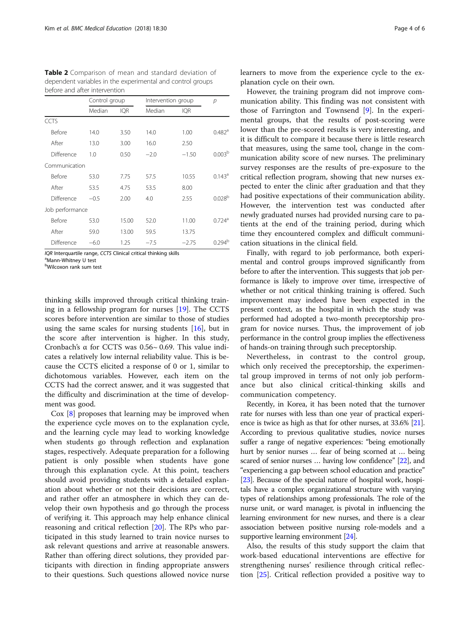|                 | Control group |            | Intervention group |            | р                    |  |
|-----------------|---------------|------------|--------------------|------------|----------------------|--|
|                 | Median        | <b>IQR</b> | Median             | <b>IQR</b> |                      |  |
| CCTS            |               |            |                    |            |                      |  |
| <b>Before</b>   | 14.0          | 3.50       | 14.0               | 1.00       | $0.482$ <sup>a</sup> |  |
| After           | 13.0          | 3.00       | 16.0               | 2.50       |                      |  |
| Difference      | 1.0           | 0.50       | $-2.0$             | $-1.50$    | 0.003 <sup>b</sup>   |  |
| Communication   |               |            |                    |            |                      |  |
| <b>Before</b>   | 53.0          | 7.75       | 57.5               | 10.55      | $0.143^a$            |  |
| After           | 53.5          | 4.75       | 53.5               | 8.00       |                      |  |
| Difference      | $-0.5$        | 2.00       | 4.0                | 2.55       | 0.028 <sup>b</sup>   |  |
| Job performance |               |            |                    |            |                      |  |
| <b>Before</b>   | 53.0          | 15.00      | 52.0               | 11.00      | $0.724$ <sup>a</sup> |  |
| After           | 59.0          | 13.00      | 59.5               | 13.75      |                      |  |
| Difference      | $-6.0$        | 1.25       | $-7.5$             | $-2.75$    | 0.294 <sup>b</sup>   |  |

<span id="page-3-0"></span>Table 2 Comparison of mean and standard deviation of dependent variables in the experimental and control groups befor interventions in the control of the set of the set of the set of the set of the set of the set of the set of the set of the set of the set of the set of the set of the set of the set of the set of the set of the set

IQR Interquartile range, CCTS Clinical critical thinking skills

<sup>a</sup>Mann-Whitney U test

b Wilcoxon rank sum test

thinking skills improved through critical thinking training in a fellowship program for nurses [\[19](#page-5-0)]. The CCTS scores before intervention are similar to those of studies using the same scales for nursing students [\[16](#page-5-0)], but in the score after intervention is higher. In this study, Cronbach's α for CCTS was 0.56~ 0.69. This value indicates a relatively low internal reliability value. This is because the CCTS elicited a response of 0 or 1, similar to dichotomous variables. However, each item on the CCTS had the correct answer, and it was suggested that the difficulty and discrimination at the time of development was good.

Cox [[8](#page-4-0)] proposes that learning may be improved when the experience cycle moves on to the explanation cycle, and the learning cycle may lead to working knowledge when students go through reflection and explanation stages, respectively. Adequate preparation for a following patient is only possible when students have gone through this explanation cycle. At this point, teachers should avoid providing students with a detailed explanation about whether or not their decisions are correct, and rather offer an atmosphere in which they can develop their own hypothesis and go through the process of verifying it. This approach may help enhance clinical reasoning and critical reflection [\[20](#page-5-0)]. The RPs who participated in this study learned to train novice nurses to ask relevant questions and arrive at reasonable answers. Rather than offering direct solutions, they provided participants with direction in finding appropriate answers to their questions. Such questions allowed novice nurse learners to move from the experience cycle to the explanation cycle on their own.

However, the training program did not improve communication ability. This finding was not consistent with those of Farrington and Townsend [\[9](#page-4-0)]. In the experimental groups, that the results of post-scoring were lower than the pre-scored results is very interesting, and it is difficult to compare it because there is little research that measures, using the same tool, change in the communication ability score of new nurses. The preliminary survey responses are the results of pre-exposure to the critical reflection program, showing that new nurses expected to enter the clinic after graduation and that they had positive expectations of their communication ability. However, the intervention test was conducted after newly graduated nurses had provided nursing care to patients at the end of the training period, during which time they encountered complex and difficult communication situations in the clinical field.

Finally, with regard to job performance, both experimental and control groups improved significantly from before to after the intervention. This suggests that job performance is likely to improve over time, irrespective of whether or not critical thinking training is offered. Such improvement may indeed have been expected in the present context, as the hospital in which the study was performed had adopted a two-month preceptorship program for novice nurses. Thus, the improvement of job performance in the control group implies the effectiveness of hands-on training through such preceptorship.

Nevertheless, in contrast to the control group, which only received the preceptorship, the experimental group improved in terms of not only job performance but also clinical critical-thinking skills and communication competency.

Recently, in Korea, it has been noted that the turnover rate for nurses with less than one year of practical experience is twice as high as that for other nurses, at 33.6% [\[21](#page-5-0)]. According to previous qualitative studies, novice nurses suffer a range of negative experiences: "being emotionally hurt by senior nurses … fear of being scorned at … being scared of senior nurses … having low confidence" [[22\]](#page-5-0), and "experiencing a gap between school education and practice" [[23](#page-5-0)]. Because of the special nature of hospital work, hospitals have a complex organizational structure with varying types of relationships among professionals. The role of the nurse unit, or ward manager, is pivotal in influencing the learning environment for new nurses, and there is a clear association between positive nursing role-models and a supportive learning environment [\[24\]](#page-5-0).

Also, the results of this study support the claim that work-based educational interventions are effective for strengthening nurses' resilience through critical reflection [[25](#page-5-0)]. Critical reflection provided a positive way to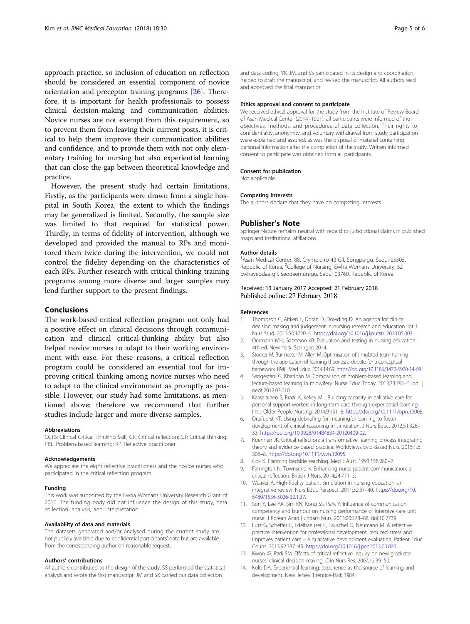<span id="page-4-0"></span>approach practice, so inclusion of education on reflection should be considered an essential component of novice orientation and preceptor training programs [[26](#page-5-0)]. Therefore, it is important for health professionals to possess clinical decision-making and communication abilities. Novice nurses are not exempt from this requirement, so to prevent them from leaving their current posts, it is critical to help them improve their communication abilities and confidence, and to provide them with not only elementary training for nursing but also experiential learning that can close the gap between theoretical knowledge and practice.

However, the present study had certain limitations. Firstly, as the participants were drawn from a single hospital in South Korea, the extent to which the findings may be generalized is limited. Secondly, the sample size was limited to that required for statistical power. Thirdly, in terms of fidelity of intervention, although we developed and provided the manual to RPs and monitored them twice during the intervention, we could not control the fidelity depending on the characteristics of each RPs. Further research with critical thinking training programs among more diverse and larger samples may lend further support to the present findings.

# Conclusions

The work-based critical reflection program not only had a positive effect on clinical decisions through communication and clinical critical-thinking ability but also helped novice nurses to adapt to their working environment with ease. For these reasons, a critical reflection program could be considered an essential tool for improving critical thinking among novice nurses who need to adapt to the clinical environment as promptly as possible. However, our study had some limitations, as mentioned above; therefore we recommend that further studies include larger and more diverse samples.

## Abbreviations

CCTS: Clinical Critical Thinking Skill; CR: Critical reflection; CT: Critical thinking; PBL: Problem-based learning; RP: Reflective practitioner

#### Acknowledgements

We appreciate the eight reflective practitioners and the novice nurses who participated in the critical reflection program.

#### Funding

This work was supported by the Ewha Womans University Research Grant of 2016. The funding body did not influence the design of this study, data collection, analysis, and interpretation.

## Availability of data and materials

The datasets generated and/or analysed during the current study are not publicly available due to confidential participants' data but are available from the corresponding author on reasonable request.

#### Authors' contributions

All authors contributed to the design of the study. SS performed the statistical analysis and wrote the first manuscript. JM and SK carried out data collection

and data coding. YK, JM, and SS participated in its design and coordination, helped to draft the manuscript, and revised the manuscript. All authors read and approved the final manuscript.

# Ethics approval and consent to participate

We received ethical approval for the study from the Institute of Review Board of Asan Medical Center (2014–1021); all participants were informed of the objectives, methods, and procedures of data collection. Their rights to confidentiality, anonymity, and voluntary withdrawal from study participation were explained and assured, as was the disposal of material containing personal information after the completion of the study. Written informed consent to participate was obtained from all participants.

#### Consent for publication

Not applicable.

#### Competing interests

The authors declare that they have no competing interests.

#### Publisher's Note

Springer Nature remains neutral with regard to jurisdictional claims in published maps and institutional affiliations.

#### Author details

<sup>1</sup> Asan Medical Center, 88, Olympic-ro 43-Gil, Songpa-gu, Seoul 05505, Republic of Korea. <sup>2</sup>College of Nursing, Ewha Womans University, 52 Ewhayeodae-gil, Seodaemun-gu, Seoul 03760, Republic of Korea.

## Received: 13 January 2017 Accepted: 21 February 2018 Published online: 27 February 2018

#### References

- 1. Thompson C, Aitken L, Doran D, Dowding D. An agenda for clinical decision making and judgement in nursing research and education. Int J Nurs Stud. 2013;50:1720–6. <https://doi.org/10.1016/j.ijnurstu.2013.05.003>.
- 2. Oermann MH, Gaberson KB. Evaluation and testing in nursing education. 4th ed. New York: Springer; 2014.
- 3. Stocker M, Burmester M, Allen M. Optimisation of simulated team training through the application of learning theories: a debate for a conceptual framework. BMC Med Educ. 2014;14:69. [https://doi.org/10.1186/1472-6920-14-69.](https://doi.org/10.1186/1472-6920-14-69)
- 4. Sangestani G, Khatiban M. Comparison of problem-based learning and lecture-based learning in midwifery. Nurse Educ Today. 2013;33:791–5. doi: j. nedt.2012.03.010
- 5. Kaasalainen S, Brazil K, Kelley ML. Building capacity in palliative care for personal support workers in long-term care through experiential learning. Int J Older People Nursing. 2014;9:151–8. <https://doi.org/10.1111/opn.12008>.
- 6. Dreifuerst KT. Using debriefing for meaningful learning to foster development of clinical reasoning in simulation. J Nurs Educ. 2012;51:326– 33. [https://doi.org/10.3928/01484834-20120409-02.](https://doi.org/10.3928/01484834-20120409-02)
- 7. Kuennen JK. Critical reflection: a transformative learning process integrating theory and evidence-based practice. Worldviews Evid-Based Nurs. 2015;12: 306–8. [https://doi.org/10.1111/wvn.12095.](https://doi.org/10.1111/wvn.12095)
- 8. Cox K. Planning bedside teaching. Med J Aust. 1993;158:280–2.
- 9. Farrington N, Townsend K. Enhancing nurse-patient communication: a critical reflection. British J Nurs. 2014;24:771–5.
- 10. Weaver A. High-fidelity patient simulation in nursing education: an integrative review. Nurs Educ Perspect. 2011;32:37–40. [https://doi.org/10.](https://doi.org/10.5480/1536-5026-32.1.37) [5480/1536-5026-32.1.37.](https://doi.org/10.5480/1536-5026-32.1.37)
- 11. Son Y, Lee YA, Sim KN, Kong SS, Park Y. Influence of communication competency and burnout on nursing performance of intensive care unit nurse. J Korean Acad Fundam Nurs. 2013;20:278–88. doi:10.7739
- 12. Lutz G, Scheffer C, Edelhaeuser F, Tauschel D, Neumann M. A reflective practice intervention for professional development, reduced stress and improves patient care – a qualitative development evaluation. Patient Educ Couns. 2013;92:337–45. <https://doi.org/10.1016/j.pec.2013.03.020>.
- 13. Kwon IG, Park SM. Effects of critical reflective inquiry on new graduate nurses' clinical decision-making. Clin Nurs Res. 2007;12:39–50.
- 14. Kolb DA. Experiential learning: experience as the source of learning and development. New Jersey: Prentice-Hall; 1984.